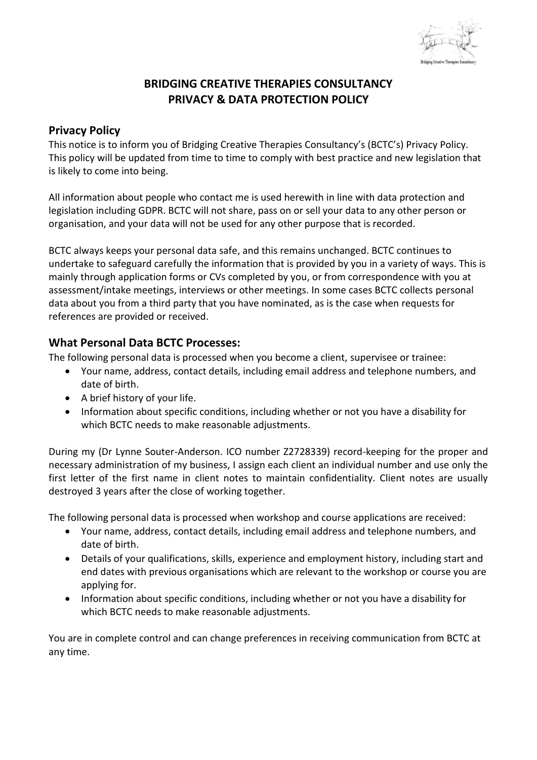

# **BRIDGING CREATIVE THERAPIES CONSULTANCY PRIVACY & DATA PROTECTION POLICY**

#### **Privacy Policy**

This notice is to inform you of Bridging Creative Therapies Consultancy's (BCTC's) Privacy Policy. This policy will be updated from time to time to comply with best practice and new legislation that is likely to come into being.

All information about people who contact me is used herewith in line with data protection and legislation including GDPR. BCTC will not share, pass on or sell your data to any other person or organisation, and your data will not be used for any other purpose that is recorded.

BCTC always keeps your personal data safe, and this remains unchanged. BCTC continues to undertake to safeguard carefully the information that is provided by you in a variety of ways. This is mainly through application forms or CVs completed by you, or from correspondence with you at assessment/intake meetings, interviews or other meetings. In some cases BCTC collects personal data about you from a third party that you have nominated, as is the case when requests for references are provided or received.

## **What Personal Data BCTC Processes:**

The following personal data is processed when you become a client, supervisee or trainee:

- Your name, address, contact details, including email address and telephone numbers, and date of birth.
- A brief history of your life.
- Information about specific conditions, including whether or not you have a disability for which BCTC needs to make reasonable adjustments.

During my (Dr Lynne Souter-Anderson. ICO number Z2728339) record-keeping for the proper and necessary administration of my business, I assign each client an individual number and use only the first letter of the first name in client notes to maintain confidentiality. Client notes are usually destroyed 3 years after the close of working together.

The following personal data is processed when workshop and course applications are received:

- Your name, address, contact details, including email address and telephone numbers, and date of birth.
- Details of your qualifications, skills, experience and employment history, including start and end dates with previous organisations which are relevant to the workshop or course you are applying for.
- Information about specific conditions, including whether or not you have a disability for which BCTC needs to make reasonable adjustments.

You are in complete control and can change preferences in receiving communication from BCTC at any time.